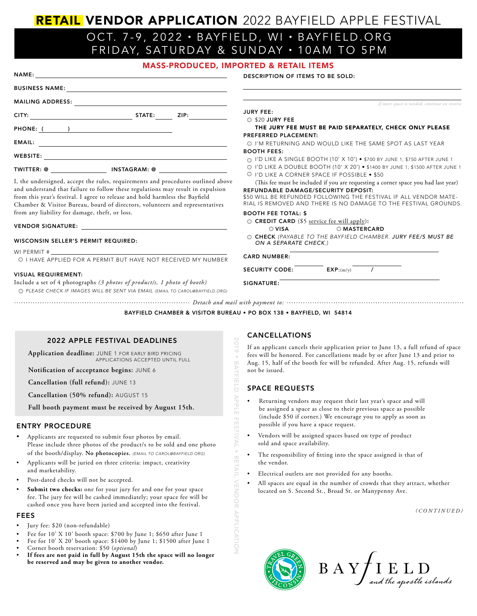# RETAIL VENDOR APPLICATION 2022 BAYFIELD APPLE FESTIVAL

# OCT. 7-9 , 2022 • BAYFIELD, WI • BAYFIELD.ORG FRIDAY, SATURDAY & SUNDAY • 10AM TO 5PM

# MASS-PRODUCED, IMPORTED & RETAIL ITEMS

| PHONE: ( ) |  |
|------------|--|
|            |  |
|            |  |
|            |  |
|            |  |

I, the undersigned, accept the rules, requirements and and understand that failure to follow these regulations from this year's festival. I agree to release and hold harm Chamber & Visitor Bureau, board of directors, volunte from any liability for damage, theft, or loss.

### VENDOR SIGNATURE:

### WISCONSIN SELLER'S PERMIT REQUIRED:

WI PERMIT #

EMAIL:

O I HAVE APPLIED FOR A PERMIT BUT HAVE NOT

# VISUAL REQUIREMENT:

Include a set of 4 photographs (3 photos of product/s,

 2022 APPLE FESTIVAL DEADLINES **Application deadline:** JUNE 1 FOR EARLY BIRD PRICING

**Full booth payment must be received by August 15th.**

Please include three photos of the product/s to be sold and one photo of the booth/display. **No photocopies.** *(EMAIL TO CAROL@BAYFIELD.ORG)* • Applicants will be juried on three criteria: impact, creativity

• Applicants are requested to submit four photos by email.

**Notification of acceptance begins:** JUNE 6

**Cancellation (full refund):** JUNE 13 **Cancellation (50% refund):** AUGUST 15

APPLICATIONS ACCEPTED UNTIL FULL

 $O$  PLEASE CHECK IF IMAGES WILL BE SENT VIA EMAIL *(EMAIL TO PLEASE*)

DESCRIPTION OF ITEMS TO BE SOLD:

| ZIP:<br>STATE:                                                               | JURY FFF:                                                                                                                           |  |
|------------------------------------------------------------------------------|-------------------------------------------------------------------------------------------------------------------------------------|--|
|                                                                              | $\bigcirc$ \$20 JURY FEE                                                                                                            |  |
|                                                                              | THE JURY FEE MUST BE PAID SEPARATELY, CHECK ONLY PLEASE<br>PREFERRED PLACEMENT:                                                     |  |
|                                                                              | O I'M RETURNING AND WOULD LIKE THE SAME SPOT AS LAST YEAR                                                                           |  |
|                                                                              | <b>BOOTH FEES:</b>                                                                                                                  |  |
|                                                                              | $\cap$ I'D LIKE A SINGLE BOOTH (10' X 10') • \$700 BY JUNE 1; \$750 AFTER JUNE 1                                                    |  |
| <b>AGRAM: @</b>                                                              | O I'D LIKE A DOUBLE BOOTH (10' X 20') . \$1400 BY JUNE 1; \$1500 AFTER JUNE 1                                                       |  |
|                                                                              | O I'D LIKE A CORNER SPACE IF POSSIBLE • \$50                                                                                        |  |
| irements and procedures outlined above                                       | (This fee must be included if you are requesting a corner space you had last year)                                                  |  |
| se regulations may result in expulsion                                       | REFUNDABLE DAMAGE/SECURITY DEPOSIT:                                                                                                 |  |
| and hold harmless the Bayfield<br>ectors, volunteers and representatives     | \$50 WILL BE REFUNDED FOLLOWING THE FESTIVAL IF ALL VENDOR MATE-<br>RIAL IS REMOVED AND THERE IS NO DAMAGE TO THE FESTIVAL GROUNDS. |  |
| )SS.                                                                         | <b>BOOTH FEE TOTAL: \$</b>                                                                                                          |  |
|                                                                              | $\circ$ CREDIT CARD (\$5 service fee will apply):                                                                                   |  |
|                                                                              | $\bigcirc$ VISA<br>O MASTERCARD                                                                                                     |  |
| <b>RED:</b>                                                                  | © CHECK (PAYABLE TO THE BAYFIELD CHAMBER. JURY FEE/S MUST BE<br>ON A SEPARATE CHECK.)                                               |  |
| T HAVE NOT RECEIVED MY NUMBER                                                | <b>CARD NUMBER:</b>                                                                                                                 |  |
|                                                                              | <b>SECURITY CODE:</b><br>EXP: (m/v)                                                                                                 |  |
| of product/s, 1 photo of booth)<br>T VIA EMAIL (EMAIL TO CAROL@BAYFIELD.ORG) | SIGNATURE:                                                                                                                          |  |
|                                                                              |                                                                                                                                     |  |
|                                                                              |                                                                                                                                     |  |
|                                                                              | BAYFIELD CHAMBER & VISITOR BUREAU . PO BOX 138 . BAYFIELD, WI 54814                                                                 |  |

# CANCELLATIONS 2019 • BAYFIELD APPLE FESTIVAL • RETAIL VENDOR APPLICATION

**BAYFIELD** 

APPLE

**FESTIVAL** 

**RETAIL** 

**VENDOR APPLICATION** 

If an applicant cancels their application prior to June 13, a full refund of space fees will be honored. For cancellations made by or after June 13 and prior to Aug. 15, half of the booth fee will be refunded. After Aug. 15, refunds will not be issued.

# SPACE REQUESTS

- Returning vendors may request their last year's space and will be assigned a space as close to their previous space as possible (include \$50 if corner.) We encourage you to apply as soon as possible if you have a space request.
- Vendors will be assigned spaces based on type of product sold and space availability.
- The responsibility of fitting into the space assigned is that of the vendor.
- Electrical outlets are not provided for any booths.
- All spaces are equal in the number of crowds that they attract, whether located on S. Second St., Broad St. or Manypenny Ave.

*(CONTINUED)*

*if more space is needed, continue on reverse*

### FEES

Jury fee: \$20 (non-refundable)

ENTRY PROCEDURE

and marketability.

- Fee for 10' X 10' booth space: \$700 by June 1; \$650 after June 1
- Fee for 10' X 20' booth space: \$1400 by June 1; \$1500 after June 1

Submit two checks: one for your jury fee and one for your space fee. The jury fee will be cashed immediately; your space fee will be cashed once you have been juried and accepted into the festival.

• Corner booth reservation: \$50 (*optional*)

Post-dated checks will not be accepted.

• **If fees are not paid in full by August 15th the space will no longer be reserved and may be given to another vendor.**